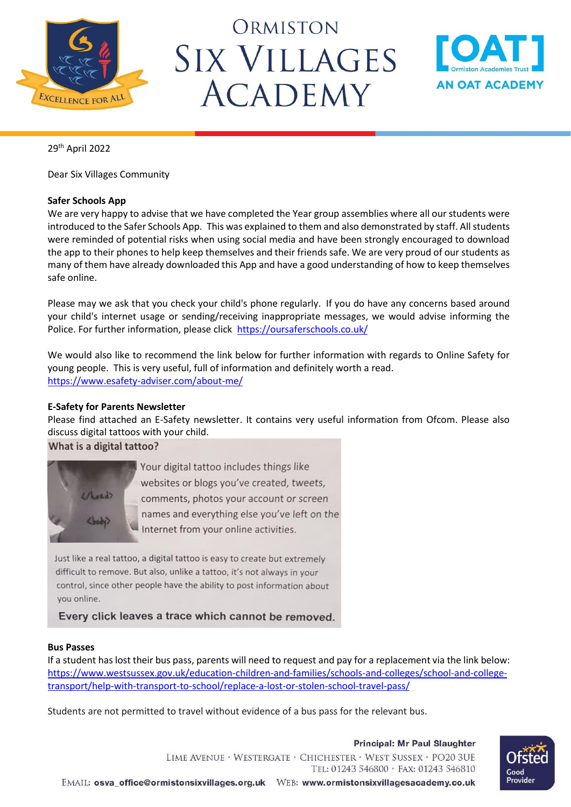

# ORMISTON **SIX VILLAGES ACADEMY**



29 th April 2022

Dear Six Villages Community

# **Safer Schools App**

We are very happy to advise that we have completed the Year group assemblies where all our students were introduced to the Safer Schools App. This was explained to them and also demonstrated by staff. All students were reminded of potential risks when using social media and have been strongly encouraged to download the app to their phones to help keep themselves and their friends safe. We are very proud of our students as many of them have already downloaded this App and have a good understanding of how to keep themselves safe online.

Please may we ask that you check your child's phone regularly. If you do have any concerns based around your child's internet usage or sending/receiving inappropriate messages, we would advise informing the Police. For further information, please click <https://oursaferschools.co.uk/>

We would also like to recommend the link below for further information with regards to Online Safety for young people. This is very useful, full of information and definitely worth a read. <https://www.esafety-adviser.com/about-me/>

# **E-Safety for Parents Newsletter**

Please find attached an E-Safety newsletter. It contains very useful information from Ofcom. Please also discuss digital tattoos with your child.

What is a digital tattoo?



Your digital tattoo includes things like websites or blogs you've created, tweets, comments, photos your account or screen names and everything else you've left on the Internet from your online activities.

Just like a real tattoo, a digital tattoo is easy to create but extremely difficult to remove. But also, unlike a tattoo, it's not always in your control, since other people have the ability to post information about you online.

Every click leaves a trace which cannot be removed.

# **Bus Passes**

If a student has lost their bus pass, parents will need to request and pay for a replacement via the link below: [https://www.westsussex.gov.uk/education-children-and-families/schools-and-colleges/school-and-college](https://www.westsussex.gov.uk/education-children-and-families/schools-and-colleges/school-and-college-transport/help-with-transport-to-school/replace-a-lost-or-stolen-school-travel-pass/)[transport/help-with-transport-to-school/replace-a-lost-or-stolen-school-travel-pass/](https://www.westsussex.gov.uk/education-children-and-families/schools-and-colleges/school-and-college-transport/help-with-transport-to-school/replace-a-lost-or-stolen-school-travel-pass/)

Students are not permitted to travel without evidence of a bus pass for the relevant bus.